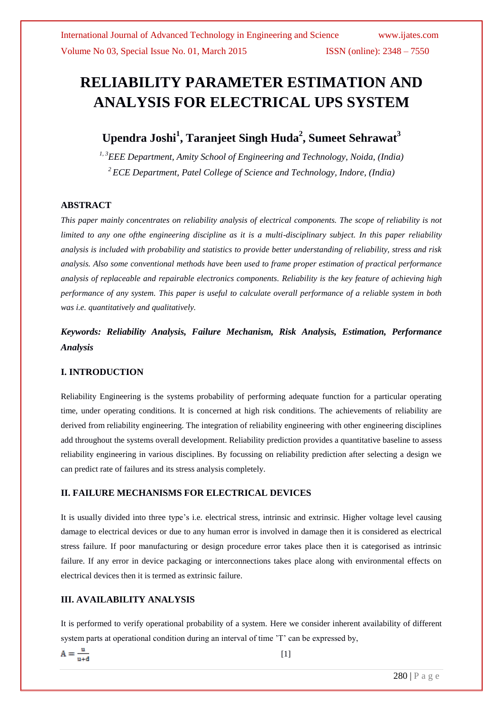# **RELIABILITY PARAMETER ESTIMATION AND ANALYSIS FOR ELECTRICAL UPS SYSTEM**

## **Upendra Joshi<sup>1</sup> , Taranjeet Singh Huda<sup>2</sup> , Sumeet Sehrawat<sup>3</sup>**

*1, <sup>3</sup>EEE Department, Amity School of Engineering and Technology, Noida, (India) <sup>2</sup> ECE Department, Patel College of Science and Technology, Indore, (India)*

### **ABSTRACT**

*This paper mainly concentrates on reliability analysis of electrical components. The scope of reliability is not limited to any one ofthe engineering discipline as it is a multi-disciplinary subject. In this paper reliability analysis is included with probability and statistics to provide better understanding of reliability, stress and risk analysis. Also some conventional methods have been used to frame proper estimation of practical performance analysis of replaceable and repairable electronics components. Reliability is the key feature of achieving high performance of any system. This paper is useful to calculate overall performance of a reliable system in both was i.e. quantitatively and qualitatively.*

*Keywords: Reliability Analysis, Failure Mechanism, Risk Analysis, Estimation, Performance Analysis*

### **I. INTRODUCTION**

Reliability Engineering is the systems probability of performing adequate function for a particular operating time, under operating conditions. It is concerned at high risk conditions. The achievements of reliability are derived from reliability engineering. The integration of reliability engineering with other engineering disciplines add throughout the systems overall development. Reliability prediction provides a quantitative baseline to assess reliability engineering in various disciplines. By focussing on reliability prediction after selecting a design we can predict rate of failures and its stress analysis completely.

### **II. FAILURE MECHANISMS FOR ELECTRICAL DEVICES**

It is usually divided into three type's i.e. electrical stress, intrinsic and extrinsic. Higher voltage level causing damage to electrical devices or due to any human error is involved in damage then it is considered as electrical stress failure. If poor manufacturing or design procedure error takes place then it is categorised as intrinsic failure. If any error in device packaging or interconnections takes place along with environmental effects on electrical devices then it is termed as extrinsic failure.

### **III. AVAILABILITY ANALYSIS**

It is performed to verify operational probability of a system. Here we consider inherent availability of different system parts at operational condition during an interval of time 'T' can be expressed by,

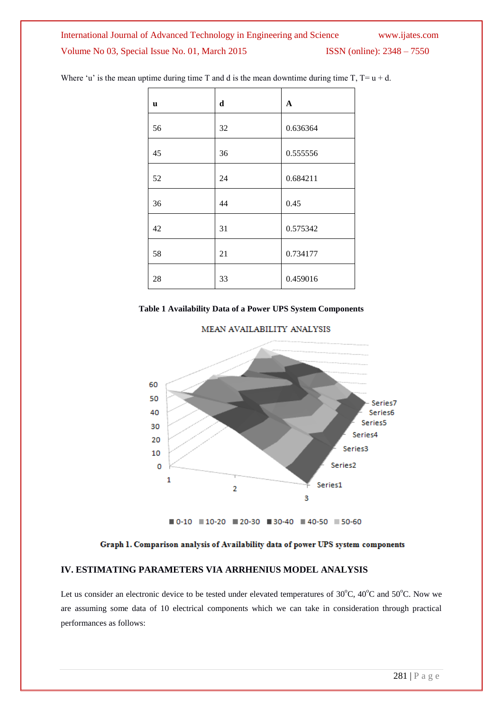### International Journal of Advanced Technology in Engineering and Science www.ijates.com Volume No 03, Special Issue No. 01, March 2015 ISSN (online): 2348 – 7550

| u  | d  | $\mathbf{A}$ |
|----|----|--------------|
| 56 | 32 | 0.636364     |
| 45 | 36 | 0.555556     |
| 52 | 24 | 0.684211     |
| 36 | 44 | 0.45         |
| 42 | 31 | 0.575342     |
| 58 | 21 | 0.734177     |
| 28 | 33 | 0.459016     |

Where 'u' is the mean uptime during time T and d is the mean downtime during time T,  $T = u + d$ .



MEAN AVAILABILITY ANALYSIS



■ 0-10 ■ 10-20 ■ 20-30 ■ 30-40 ■ 40-50 ■ 50-60

Graph 1. Comparison analysis of Availability data of power UPS system components

### **IV. ESTIMATING PARAMETERS VIA ARRHENIUS MODEL ANALYSIS**

Let us consider an electronic device to be tested under elevated temperatures of 30°C, 40°C and 50°C. Now we are assuming some data of 10 electrical components which we can take in consideration through practical performances as follows: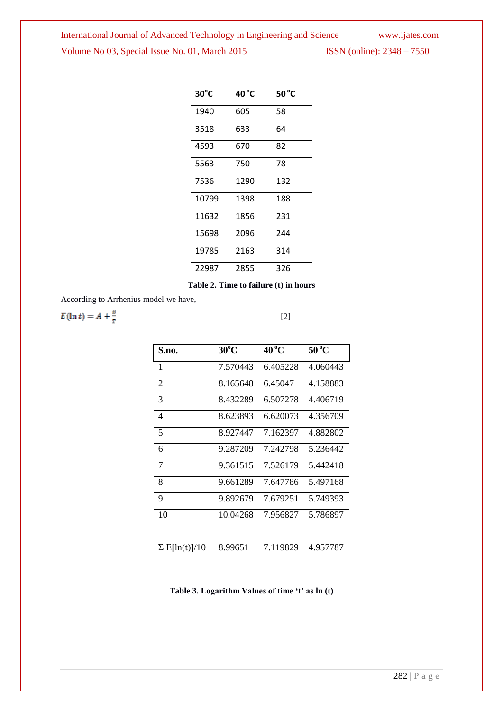# International Journal of Advanced Technology in Engineering and Science www.ijates.com Volume No 03, Special Issue No. 01, March 2015 ISSN (online): 2348 – 7550

| $30^{\circ}$ C | $40^{\circ}$ C | $50^{\circ}$ C |
|----------------|----------------|----------------|
| 1940           | 605            | 58             |
| 3518           | 633            | 64             |
| 4593           | 670            | 82             |
| 5563           | 750            | 78             |
| 7536           | 1290           | 132            |
| 10799          | 1398           | 188            |
| 11632          | 1856           | 231            |
| 15698          | 2096           | 244            |
| 19785          | 2163           | 314            |
| 22987          | 2855           | 326            |

**Table 2. Time to failure (t) in hours**

According to Arrhenius model we have,

$$
E(\ln t) = A + \frac{B}{r} \tag{2}
$$

| S.no.                    | $30^{\circ}$ C | $40^{\circ}$ C | $50^{\circ}$ C |
|--------------------------|----------------|----------------|----------------|
| 1                        | 7.570443       | 6.405228       | 4.060443       |
| $\overline{2}$           | 8.165648       | 6.45047        | 4.158883       |
| 3                        | 8.432289       | 6.507278       | 4.406719       |
| $\overline{\mathcal{A}}$ | 8.623893       | 6.620073       | 4.356709       |
| 5                        | 8.927447       | 7.162397       | 4.882802       |
| 6                        | 9.287209       | 7.242798       | 5.236442       |
| 7                        | 9.361515       | 7.526179       | 5.442418       |
| 8                        | 9.661289       | 7.647786       | 5.497168       |
| 9                        | 9.892679       | 7.679251       | 5.749393       |
| 10                       | 10.04268       | 7.956827       | 5.786897       |
| $\Sigma$ E[ln(t)]/10     | 8.99651        | 7.119829       | 4.957787       |

**Table 3. Logarithm Values of time 't' as ln (t)**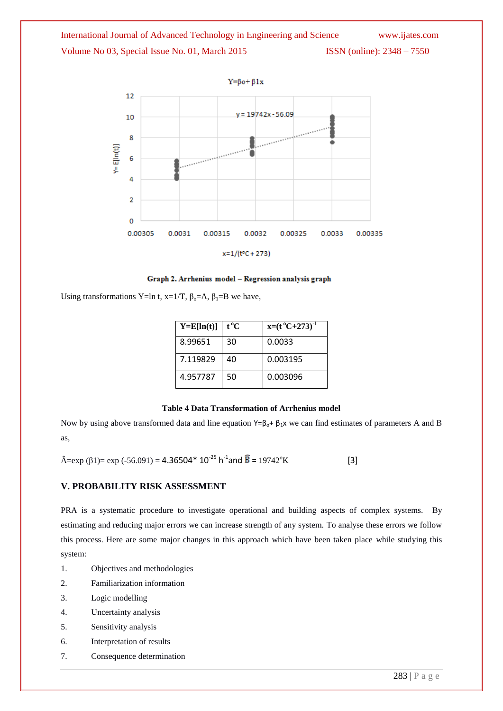

Graph 2. Arrhenius model - Regression analysis graph

Using transformations Y=ln t, x=1/T,  $\beta_0$ =A,  $\beta_1$ =B we have,

| $Y=E[ln(t)]$ | t °C | $x=(t^{\circ}C+273)^{-1}$ |
|--------------|------|---------------------------|
| 8.99651      | 30   | 0.0033                    |
| 7.119829     | 40   | 0.003195                  |
| 4.957787     | 50   | 0.003096                  |

#### **Table 4 Data Transformation of Arrhenius model**

Now by using above transformed data and line equation Y= $\beta_0$ +  $\beta_1$ x we can find estimates of parameters A and B as,

 $\hat{A} = \exp (\beta I) = \exp (-56.091) = 4.36504* 10^{-25} \text{ h}^{-1}$  and  $\hat{B} = 19742^{\circ} \text{K}$  [3]

### **V. PROBABILITY RISK ASSESSMENT**

PRA is a systematic procedure to investigate operational and building aspects of complex systems. By estimating and reducing major errors we can increase strength of any system. To analyse these errors we follow this process. Here are some major changes in this approach which have been taken place while studying this system:

- 1. Objectives and methodologies
- 2. Familiarization information
- 3. Logic modelling
- 4. Uncertainty analysis
- 5. Sensitivity analysis
- 6. Interpretation of results
- 7. Consequence determination